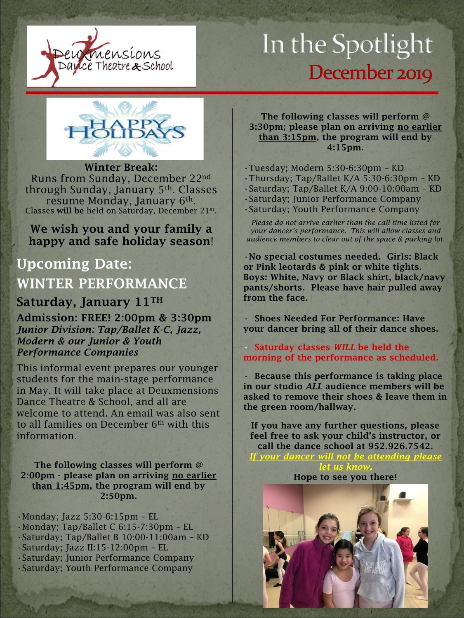

# In the Spotlight December 2019



Winter Break: Runs from Sunday, December 22nd through Sunday, January 5th. Classes resume Monday, January 6th. Classes will be held on Saturday, December  $21^{st}$ .

#### We wish you and your family a happy and safe holiday season!

## Upcoming Date: WINTER PERFORMANCE

#### Saturday, January 11TH

Admission: FREE! 2:00pm & 3:30pm *Junior Division: Tap/Ballet K-C, Jazz, Modern & our Junior & Youth Performance Companies*

This informal event prepares our younger students for the main-stage performance in May. It will take place at Deuxmensions Dance Theatre & School, and all are welcome to attend. An email was also sent to all families on December 6th with this information.

The following classes will perform @ 2:00pm - please plan on arriving no earlier than 1:45pm, the program will end by 2:50pm.

•Monday; Jazz 5:30-6:15pm – EL •Monday; Tap/Ballet C 6:15-7:30pm – EL •Saturday; Tap/Ballet B 10:00-11:00am – KD •Saturday; Jazz II:15-12:00pm – EL •Saturday; Junior Performance Company •Saturday; Youth Performance Company

The following classes will perform @ 3:30pm; please plan on arriving no earlier than 3:15pm, the program will end by 4:15pm.

•Tuesday; Modern 5:30-6:30pm – KD

- •Thursday; Tap/Ballet K/A 5:30-6:30pm KD
- •Saturday; Tap/Ballet K/A 9:00-10:00am KD
- •Saturday; Junior Performance Company
- •Saturday; Youth Performance Company

*Please do not arrive earlier than the call time listed for your dancer's performance. This will allow classes and audience members to clear out of the space & parking lot.* 

•No special costumes needed. Girls: Black or Pink leotards & pink or white tights. Boys: White, Navy or Black shirt, black/navy pants/shorts. Please have hair pulled away from the face.

Shoes Needed For Performance: Have your dancer bring all of their dance shoes.

#### • Saturday classes *WILL* be held the morning of the performance as scheduled.

• Because this performance is taking place in our studio *ALL* audience members will be asked to remove their shoes & leave them in the green room/hallway.

If you have any further questions, please feel free to ask your child's instructor, or call the dance school at 952.926.7542.

*If your dancer will not be attending please* 

*let us know.* Hope to see you there!

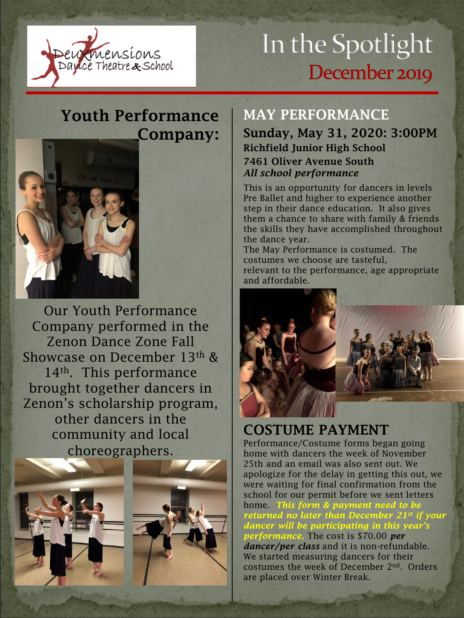

# In the Spotlight December 2019

# Youth Performance Company:



Our Youth Performance Company performed in the Zenon Dance Zone Fall Showcase on December 13th & 14th. This performance brought together dancers in Zenon's scholarship program, other dancers in the community and local choreographers.





### MAY PERFORMANCE Sunday, May 31, 2020: 3:00PM Richfield Junior High School 7461 Oliver Avenue South *All school performance*

This is an opportunity for dancers in levels Pre Ballet and higher to experience another step in their dance education. It also gives them a chance to share with family & friends the skills they have accomplished throughout the dance year.

The May Performance is costumed. The costumes we choose are tasteful, relevant to the performance, age appropriate and affordable.



# COSTUME PAYMENT

Performance/Costume forms began going home with dancers the week of November 25th and an email was also sent out. We apologize for the delay in getting this out, we were waiting for final confirmation from the school for our permit before we sent letters home. *This form & payment need to be returned no later than December 21st if your dancer will be participating in this year's performance.* The cost is \$70.00 *per dancer/per class* and it is non-refundable. We started measuring dancers for their costumes the week of December 2nd. Orders are placed over Winter Break.